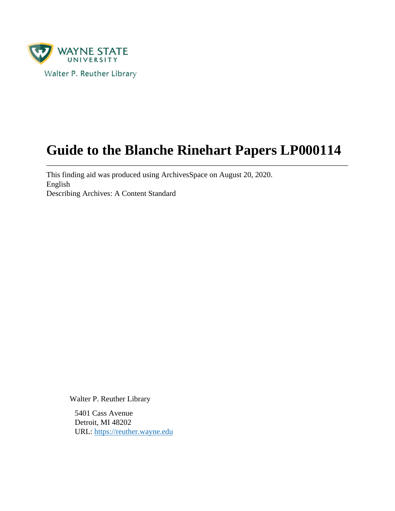

# **Guide to the Blanche Rinehart Papers LP000114**

This finding aid was produced using ArchivesSpace on August 20, 2020. English Describing Archives: A Content Standard

Walter P. Reuther Library

5401 Cass Avenue Detroit, MI 48202 URL:<https://reuther.wayne.edu>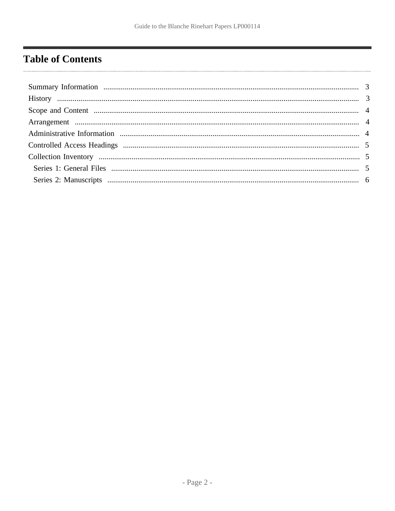## <span id="page-1-0"></span>**Table of Contents**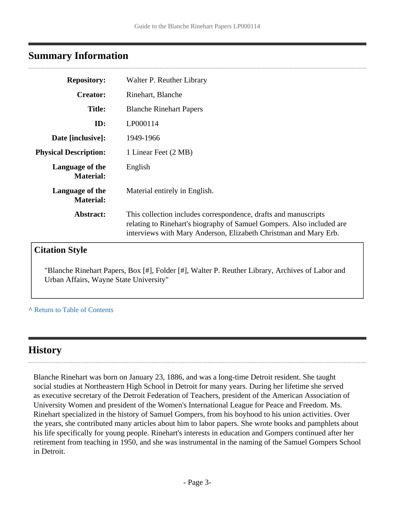## <span id="page-2-0"></span>**Summary Information**

| <b>Repository:</b>                  | Walter P. Reuther Library                                                                                                                                                                                    |
|-------------------------------------|--------------------------------------------------------------------------------------------------------------------------------------------------------------------------------------------------------------|
| <b>Creator:</b>                     | Rinehart, Blanche                                                                                                                                                                                            |
| <b>Title:</b>                       | <b>Blanche Rinehart Papers</b>                                                                                                                                                                               |
| ID:                                 | LP000114                                                                                                                                                                                                     |
| Date [inclusive]:                   | 1949-1966                                                                                                                                                                                                    |
| <b>Physical Description:</b>        | 1 Linear Feet (2 MB)                                                                                                                                                                                         |
| Language of the<br><b>Material:</b> | English                                                                                                                                                                                                      |
| Language of the<br><b>Material:</b> | Material entirely in English.                                                                                                                                                                                |
| Abstract:                           | This collection includes correspondence, drafts and manuscripts<br>relating to Rinehart's biography of Samuel Gompers. Also included are<br>interviews with Mary Anderson, Elizabeth Christman and Mary Erb. |
| <b>Citation Style</b>               |                                                                                                                                                                                                              |

"Blanche Rinehart Papers, Box [#], Folder [#], Walter P. Reuther Library, Archives of Labor and Urban Affairs, Wayne State University"

#### **^** [Return to Table of Contents](#page-1-0)

## <span id="page-2-1"></span>**History**

Blanche Rinehart was born on January 23, 1886, and was a long-time Detroit resident. She taught social studies at Northeastern High School in Detroit for many years. During her lifetime she served as executive secretary of the Detroit Federation of Teachers, president of the American Association of University Women and president of the Women's International League for Peace and Freedom. Ms. Rinehart specialized in the history of Samuel Gompers, from his boyhood to his union activities. Over the years, she contributed many articles about him to labor papers. She wrote books and pamphlets about his life specifically for young people. Rinehart's interests in education and Gompers continued after her retirement from teaching in 1950, and she was instrumental in the naming of the Samuel Gompers School in Detroit.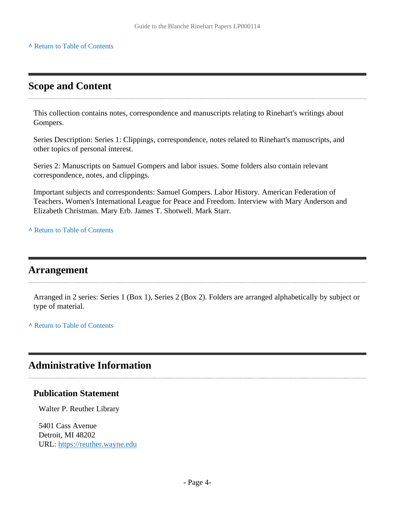#### **^** [Return to Table of Contents](#page-1-0)

## <span id="page-3-0"></span>**Scope and Content**

This collection contains notes, correspondence and manuscripts relating to Rinehart's writings about Gompers.

Series Description: Series 1: Clippings, correspondence, notes related to Rinehart's manuscripts, and other topics of personal interest.

Series 2: Manuscripts on Samuel Gompers and labor issues. Some folders also contain relevant correspondence, notes, and clippings.

Important subjects and correspondents: Samuel Gompers. Labor History. American Federation of Teachers. Women's International League for Peace and Freedom. Interview with Mary Anderson and Elizabeth Christman. Mary Erb. James T. Shotwell. Mark Starr.

**^** [Return to Table of Contents](#page-1-0)

#### <span id="page-3-1"></span>**Arrangement**

Arranged in 2 series: Series 1 (Box 1), Series 2 (Box 2). Folders are arranged alphabetically by subject or type of material.

**^** [Return to Table of Contents](#page-1-0)

## <span id="page-3-2"></span>**Administrative Information**

#### **Publication Statement**

Walter P. Reuther Library

5401 Cass Avenue Detroit, MI 48202 URL:<https://reuther.wayne.edu>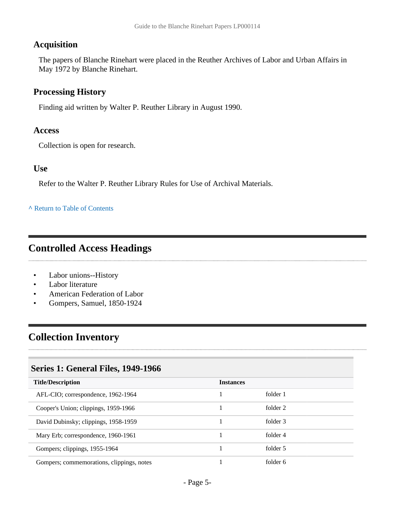#### **Acquisition**

The papers of Blanche Rinehart were placed in the Reuther Archives of Labor and Urban Affairs in May 1972 by Blanche Rinehart.

#### **Processing History**

Finding aid written by Walter P. Reuther Library in August 1990.

#### **Access**

Collection is open for research.

#### **Use**

Refer to the Walter P. Reuther Library Rules for Use of Archival Materials.

#### **^** [Return to Table of Contents](#page-1-0)

### <span id="page-4-0"></span>**Controlled Access Headings**

- Labor unions--History
- Labor literature
- American Federation of Labor
- Gompers, Samuel, 1850-1924

## <span id="page-4-1"></span>**Collection Inventory**

#### <span id="page-4-2"></span>**Series 1: General Files, 1949-1966**

| <b>Title/Description</b>                  | <b>Instances</b> |          |
|-------------------------------------------|------------------|----------|
| AFL-CIO; correspondence, 1962-1964        |                  | folder 1 |
| Cooper's Union; clippings, 1959-1966      |                  | folder 2 |
| David Dubinsky; clippings, 1958-1959      |                  | folder 3 |
| Mary Erb; correspondence, 1960-1961       |                  | folder 4 |
| Gompers; clippings, 1955-1964             |                  | folder 5 |
| Gompers; commemorations, clippings, notes |                  | folder 6 |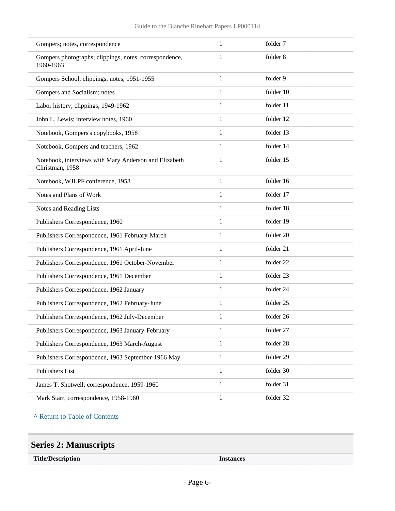| Gompers; notes, correspondence                                           | $\mathbf{1}$ | folder 7  |  |
|--------------------------------------------------------------------------|--------------|-----------|--|
| Gompers photographs; clippings, notes, correspondence,<br>1960-1963      | 1            | folder 8  |  |
| Gompers School; clippings, notes, 1951-1955                              | $\mathbf{1}$ | folder 9  |  |
| Gompers and Socialism; notes                                             | $\mathbf{1}$ | folder 10 |  |
| Labor history; clippings, 1949-1962                                      | $\mathbf{1}$ | folder 11 |  |
| John L. Lewis; interview notes, 1960                                     | 1            | folder 12 |  |
| Notebook, Gompers's copybooks, 1958                                      | 1            | folder 13 |  |
| Notebook, Gompers and teachers, 1962                                     | $\mathbf{1}$ | folder 14 |  |
| Notebook, interviews with Mary Anderson and Elizabeth<br>Christman, 1958 | 1            | folder 15 |  |
| Notebook, WJLPF conference, 1958                                         | $\mathbf{1}$ | folder 16 |  |
| Notes and Plans of Work                                                  | 1            | folder 17 |  |
| Notes and Reading Lists                                                  | $\mathbf{1}$ | folder 18 |  |
| Publishers Correspondence, 1960                                          | $\mathbf{1}$ | folder 19 |  |
| Publishers Correspondence, 1961 February-March                           | 1            | folder 20 |  |
| Publishers Correspondence, 1961 April-June                               | 1            | folder 21 |  |
| Publishers Correspondence, 1961 October-November                         | $\mathbf{1}$ | folder 22 |  |
| Publishers Correspondence, 1961 December                                 | $\mathbf{1}$ | folder 23 |  |
| Publishers Correspondence, 1962 January                                  | 1            | folder 24 |  |
| Publishers Correspondence, 1962 February-June                            | 1            | folder 25 |  |
| Publishers Correspondence, 1962 July-December                            | $\mathbf{1}$ | folder 26 |  |
| Publishers Correspondence, 1963 January-February                         | 1            | folder 27 |  |
| Publishers Correspondence, 1963 March-August                             | $\mathbf{1}$ | folder 28 |  |
| Publishers Correspondence, 1963 September-1966 May                       | $\mathbf{1}$ | folder 29 |  |
| Publishers List                                                          | 1            | folder 30 |  |
| James T. Shotwell; correspondence, 1959-1960                             | $\mathbf{1}$ | folder 31 |  |
| Mark Starr, correspondence, 1958-1960                                    | $\mathbf{1}$ | folder 32 |  |

#### **^** [Return to Table of Contents](#page-1-0)

## <span id="page-5-0"></span>**Series 2: Manuscripts**

| <b>Title/Description</b> | . |
|--------------------------|---|
|                          |   |